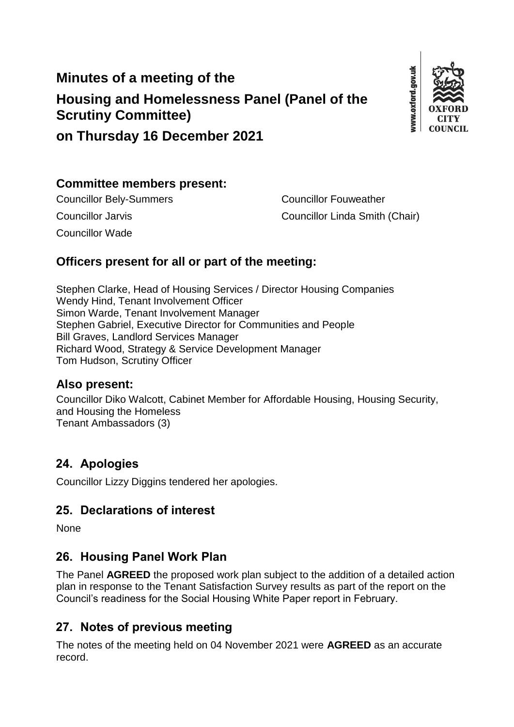# **Minutes of a meeting of the Housing and Homelessness Panel (Panel of the Scrutiny Committee)**



# **on Thursday 16 December 2021**

#### **Committee members present:**

Councillor Wade

Councillor Bely-Summers Councillor Fouweather Councillor Jarvis Councillor Linda Smith (Chair)

## **Officers present for all or part of the meeting:**

Stephen Clarke, Head of Housing Services / Director Housing Companies Wendy Hind, Tenant Involvement Officer Simon Warde, Tenant Involvement Manager Stephen Gabriel, Executive Director for Communities and People Bill Graves, Landlord Services Manager Richard Wood, Strategy & Service Development Manager Tom Hudson, Scrutiny Officer

#### **Also present:**

Councillor Diko Walcott, Cabinet Member for Affordable Housing, Housing Security, and Housing the Homeless Tenant Ambassadors (3)

## **24. Apologies**

Councillor Lizzy Diggins tendered her apologies.

### **25. Declarations of interest**

None

### **26. Housing Panel Work Plan**

The Panel **AGREED** the proposed work plan subject to the addition of a detailed action plan in response to the Tenant Satisfaction Survey results as part of the report on the Council's readiness for the Social Housing White Paper report in February.

## **27. Notes of previous meeting**

The notes of the meeting held on 04 November 2021 were **AGREED** as an accurate record.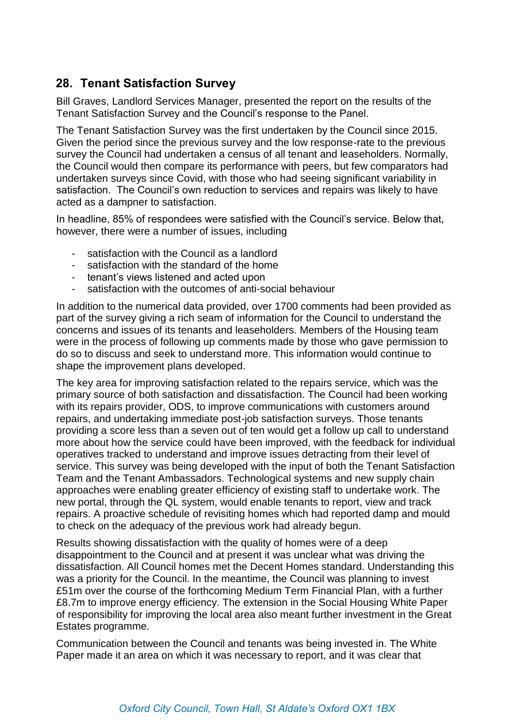## **28. Tenant Satisfaction Survey**

Bill Graves, Landlord Services Manager, presented the report on the results of the Tenant Satisfaction Survey and the Council's response to the Panel.

The Tenant Satisfaction Survey was the first undertaken by the Council since 2015. Given the period since the previous survey and the low response-rate to the previous survey the Council had undertaken a census of all tenant and leaseholders. Normally, the Council would then compare its performance with peers, but few comparators had undertaken surveys since Covid, with those who had seeing significant variability in satisfaction. The Council's own reduction to services and repairs was likely to have acted as a dampner to satisfaction.

In headline, 85% of respondees were satisfied with the Council's service. Below that, however, there were a number of issues, including

- satisfaction with the Council as a landlord
- satisfaction with the standard of the home
- tenant's views listened and acted upon
- satisfaction with the outcomes of anti-social behaviour

In addition to the numerical data provided, over 1700 comments had been provided as part of the survey giving a rich seam of information for the Council to understand the concerns and issues of its tenants and leaseholders. Members of the Housing team were in the process of following up comments made by those who gave permission to do so to discuss and seek to understand more. This information would continue to shape the improvement plans developed.

The key area for improving satisfaction related to the repairs service, which was the primary source of both satisfaction and dissatisfaction. The Council had been working with its repairs provider, ODS, to improve communications with customers around repairs, and undertaking immediate post-job satisfaction surveys. Those tenants providing a score less than a seven out of ten would get a follow up call to understand more about how the service could have been improved, with the feedback for individual operatives tracked to understand and improve issues detracting from their level of service. This survey was being developed with the input of both the Tenant Satisfaction Team and the Tenant Ambassadors. Technological systems and new supply chain approaches were enabling greater efficiency of existing staff to undertake work. The new portal, through the QL system, would enable tenants to report, view and track repairs. A proactive schedule of revisiting homes which had reported damp and mould to check on the adequacy of the previous work had already begun.

Results showing dissatisfaction with the quality of homes were of a deep disappointment to the Council and at present it was unclear what was driving the dissatisfaction. All Council homes met the Decent Homes standard. Understanding this was a priority for the Council. In the meantime, the Council was planning to invest £51m over the course of the forthcoming Medium Term Financial Plan, with a further £8.7m to improve energy efficiency. The extension in the Social Housing White Paper of responsibility for improving the local area also meant further investment in the Great Estates programme.

Communication between the Council and tenants was being invested in. The White Paper made it an area on which it was necessary to report, and it was clear that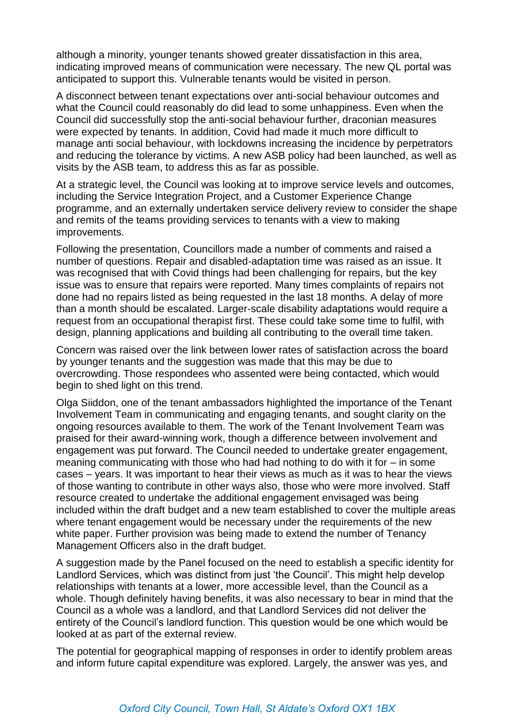although a minority, younger tenants showed greater dissatisfaction in this area, indicating improved means of communication were necessary. The new QL portal was anticipated to support this. Vulnerable tenants would be visited in person.

A disconnect between tenant expectations over anti-social behaviour outcomes and what the Council could reasonably do did lead to some unhappiness. Even when the Council did successfully stop the anti-social behaviour further, draconian measures were expected by tenants. In addition, Covid had made it much more difficult to manage anti social behaviour, with lockdowns increasing the incidence by perpetrators and reducing the tolerance by victims. A new ASB policy had been launched, as well as visits by the ASB team, to address this as far as possible.

At a strategic level, the Council was looking at to improve service levels and outcomes, including the Service Integration Project, and a Customer Experience Change programme, and an externally undertaken service delivery review to consider the shape and remits of the teams providing services to tenants with a view to making improvements.

Following the presentation, Councillors made a number of comments and raised a number of questions. Repair and disabled-adaptation time was raised as an issue. It was recognised that with Covid things had been challenging for repairs, but the key issue was to ensure that repairs were reported. Many times complaints of repairs not done had no repairs listed as being requested in the last 18 months. A delay of more than a month should be escalated. Larger-scale disability adaptations would require a request from an occupational therapist first. These could take some time to fulfil, with design, planning applications and building all contributing to the overall time taken.

Concern was raised over the link between lower rates of satisfaction across the board by younger tenants and the suggestion was made that this may be due to overcrowding. Those respondees who assented were being contacted, which would begin to shed light on this trend.

Olga Siiddon, one of the tenant ambassadors highlighted the importance of the Tenant Involvement Team in communicating and engaging tenants, and sought clarity on the ongoing resources available to them. The work of the Tenant Involvement Team was praised for their award-winning work, though a difference between involvement and engagement was put forward. The Council needed to undertake greater engagement, meaning communicating with those who had had nothing to do with it for – in some cases – years. It was important to hear their views as much as it was to hear the views of those wanting to contribute in other ways also, those who were more involved. Staff resource created to undertake the additional engagement envisaged was being included within the draft budget and a new team established to cover the multiple areas where tenant engagement would be necessary under the requirements of the new white paper. Further provision was being made to extend the number of Tenancy Management Officers also in the draft budget.

A suggestion made by the Panel focused on the need to establish a specific identity for Landlord Services, which was distinct from just 'the Council'. This might help develop relationships with tenants at a lower, more accessible level, than the Council as a whole. Though definitely having benefits, it was also necessary to bear in mind that the Council as a whole was a landlord, and that Landlord Services did not deliver the entirety of the Council's landlord function. This question would be one which would be looked at as part of the external review.

The potential for geographical mapping of responses in order to identify problem areas and inform future capital expenditure was explored. Largely, the answer was yes, and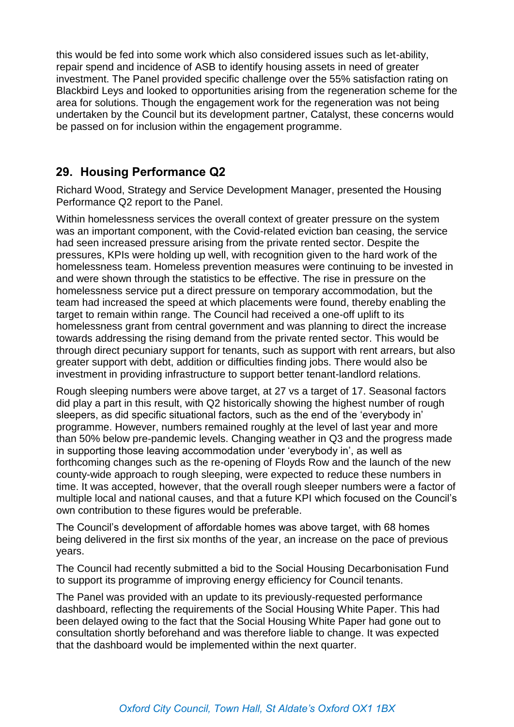this would be fed into some work which also considered issues such as let-ability, repair spend and incidence of ASB to identify housing assets in need of greater investment. The Panel provided specific challenge over the 55% satisfaction rating on Blackbird Leys and looked to opportunities arising from the regeneration scheme for the area for solutions. Though the engagement work for the regeneration was not being undertaken by the Council but its development partner, Catalyst, these concerns would be passed on for inclusion within the engagement programme.

## **29. Housing Performance Q2**

Richard Wood, Strategy and Service Development Manager, presented the Housing Performance Q2 report to the Panel.

Within homelessness services the overall context of greater pressure on the system was an important component, with the Covid-related eviction ban ceasing, the service had seen increased pressure arising from the private rented sector. Despite the pressures, KPIs were holding up well, with recognition given to the hard work of the homelessness team. Homeless prevention measures were continuing to be invested in and were shown through the statistics to be effective. The rise in pressure on the homelessness service put a direct pressure on temporary accommodation, but the team had increased the speed at which placements were found, thereby enabling the target to remain within range. The Council had received a one-off uplift to its homelessness grant from central government and was planning to direct the increase towards addressing the rising demand from the private rented sector. This would be through direct pecuniary support for tenants, such as support with rent arrears, but also greater support with debt, addition or difficulties finding jobs. There would also be investment in providing infrastructure to support better tenant-landlord relations.

Rough sleeping numbers were above target, at 27 vs a target of 17. Seasonal factors did play a part in this result, with Q2 historically showing the highest number of rough sleepers, as did specific situational factors, such as the end of the 'everybody in' programme. However, numbers remained roughly at the level of last year and more than 50% below pre-pandemic levels. Changing weather in Q3 and the progress made in supporting those leaving accommodation under 'everybody in', as well as forthcoming changes such as the re-opening of Floyds Row and the launch of the new county-wide approach to rough sleeping, were expected to reduce these numbers in time. It was accepted, however, that the overall rough sleeper numbers were a factor of multiple local and national causes, and that a future KPI which focused on the Council's own contribution to these figures would be preferable.

The Council's development of affordable homes was above target, with 68 homes being delivered in the first six months of the year, an increase on the pace of previous years.

The Council had recently submitted a bid to the Social Housing Decarbonisation Fund to support its programme of improving energy efficiency for Council tenants.

The Panel was provided with an update to its previously-requested performance dashboard, reflecting the requirements of the Social Housing White Paper. This had been delayed owing to the fact that the Social Housing White Paper had gone out to consultation shortly beforehand and was therefore liable to change. It was expected that the dashboard would be implemented within the next quarter.